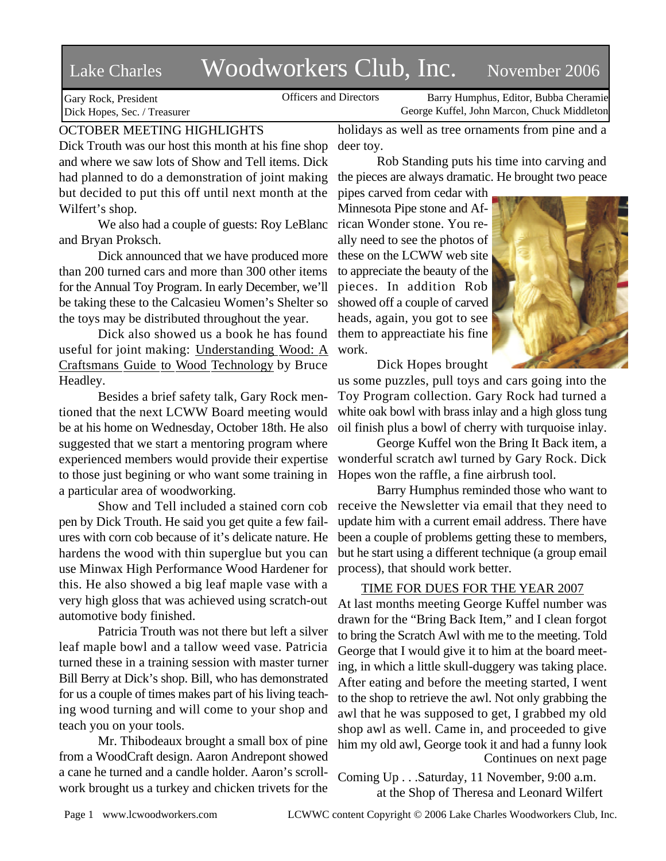# Lake Charles Woodworkers Club, Inc. November 2006

Gary Rock, President Dick Hopes, Sec. / Treasurer

Officers and Directors Barry Humphus, Editor, Bubba Cheramie George Kuffel, John Marcon, Chuck Middleton

# OCTOBER MEETING HIGHLIGHTS

Dick Trouth was our host this month at his fine shop and where we saw lots of Show and Tell items. Dick had planned to do a demonstration of joint making but decided to put this off until next month at the Wilfert's shop.

We also had a couple of guests: Roy LeBlanc and Bryan Proksch.

Dick announced that we have produced more than 200 turned cars and more than 300 other items for the Annual Toy Program. In early December, we'll be taking these to the Calcasieu Women's Shelter so the toys may be distributed throughout the year.

Dick also showed us a book he has found useful for joint making: Understanding Wood: A Craftsmans Guide to Wood Technology by Bruce Headley.

Besides a brief safety talk, Gary Rock mentioned that the next LCWW Board meeting would be at his home on Wednesday, October 18th. He also suggested that we start a mentoring program where experienced members would provide their expertise to those just begining or who want some training in a particular area of woodworking.

Show and Tell included a stained corn cob pen by Dick Trouth. He said you get quite a few failures with corn cob because of it's delicate nature. He hardens the wood with thin superglue but you can use Minwax High Performance Wood Hardener for this. He also showed a big leaf maple vase with a very high gloss that was achieved using scratch-out automotive body finished.

Patricia Trouth was not there but left a silver leaf maple bowl and a tallow weed vase. Patricia turned these in a training session with master turner Bill Berry at Dick's shop. Bill, who has demonstrated for us a couple of times makes part of his living teaching wood turning and will come to your shop and teach you on your tools.

Mr. Thibodeaux brought a small box of pine from a WoodCraft design. Aaron Andrepont showed a cane he turned and a candle holder. Aaron's scrollwork brought us a turkey and chicken trivets for the

holidays as well as tree ornaments from pine and a deer toy.

Rob Standing puts his time into carving and the pieces are always dramatic. He brought two peace

pipes carved from cedar with Minnesota Pipe stone and African Wonder stone. You really need to see the photos of these on the LCWW web site to appreciate the beauty of the pieces. In addition Rob showed off a couple of carved heads, again, you got to see them to appreactiate his fine work.



Dick Hopes brought

us some puzzles, pull toys and cars going into the Toy Program collection. Gary Rock had turned a white oak bowl with brass inlay and a high gloss tung oil finish plus a bowl of cherry with turquoise inlay.

George Kuffel won the Bring It Back item, a wonderful scratch awl turned by Gary Rock. Dick Hopes won the raffle, a fine airbrush tool.

Barry Humphus reminded those who want to receive the Newsletter via email that they need to update him with a current email address. There have been a couple of problems getting these to members, but he start using a different technique (a group email process), that should work better.

## TIME FOR DUES FOR THE YEAR 2007

At last months meeting George Kuffel number was drawn for the "Bring Back Item," and I clean forgot to bring the Scratch Awl with me to the meeting. Told George that I would give it to him at the board meeting, in which a little skull-duggery was taking place. After eating and before the meeting started, I went to the shop to retrieve the awl. Not only grabbing the awl that he was supposed to get, I grabbed my old shop awl as well. Came in, and proceeded to give him my old awl, George took it and had a funny look Continues on next page

Coming Up . . .Saturday, 11 November, 9:00 a.m. at the Shop of Theresa and Leonard Wilfert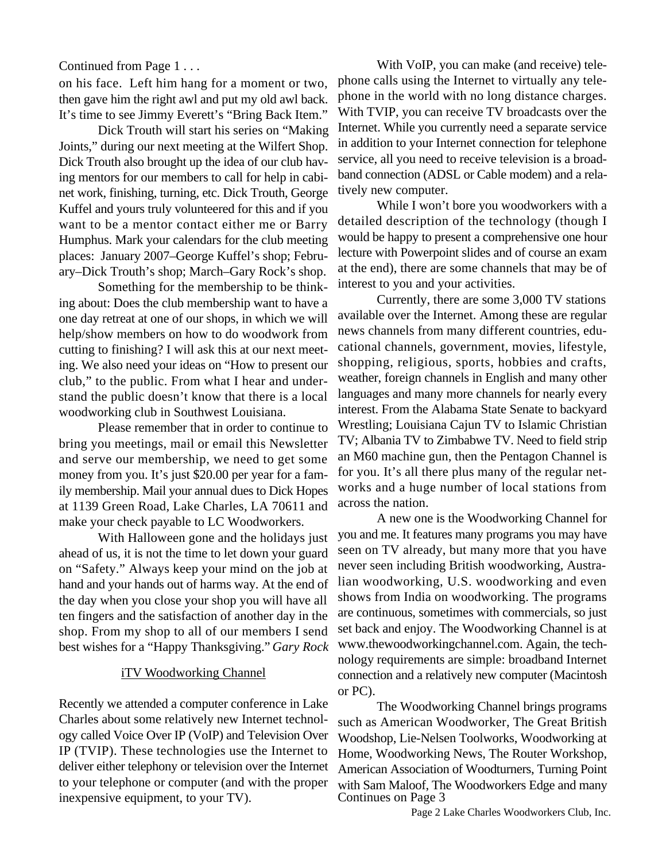#### Continued from Page 1 . . .

on his face. Left him hang for a moment or two, then gave him the right awl and put my old awl back. It's time to see Jimmy Everett's "Bring Back Item."

Dick Trouth will start his series on "Making Joints," during our next meeting at the Wilfert Shop. Dick Trouth also brought up the idea of our club having mentors for our members to call for help in cabinet work, finishing, turning, etc. Dick Trouth, George Kuffel and yours truly volunteered for this and if you want to be a mentor contact either me or Barry Humphus. Mark your calendars for the club meeting places: January 2007–George Kuffel's shop; February–Dick Trouth's shop; March–Gary Rock's shop.

Something for the membership to be thinking about: Does the club membership want to have a one day retreat at one of our shops, in which we will help/show members on how to do woodwork from cutting to finishing? I will ask this at our next meeting. We also need your ideas on "How to present our club," to the public. From what I hear and understand the public doesn't know that there is a local woodworking club in Southwest Louisiana.

Please remember that in order to continue to bring you meetings, mail or email this Newsletter and serve our membership, we need to get some money from you. It's just \$20.00 per year for a family membership. Mail your annual dues to Dick Hopes at 1139 Green Road, Lake Charles, LA 70611 and make your check payable to LC Woodworkers.

With Halloween gone and the holidays just ahead of us, it is not the time to let down your guard on "Safety." Always keep your mind on the job at hand and your hands out of harms way. At the end of the day when you close your shop you will have all ten fingers and the satisfaction of another day in the shop. From my shop to all of our members I send best wishes for a "Happy Thanksgiving." *Gary Rock*

#### iTV Woodworking Channel

Recently we attended a computer conference in Lake Charles about some relatively new Internet technology called Voice Over IP (VoIP) and Television Over IP (TVIP). These technologies use the Internet to deliver either telephony or television over the Internet to your telephone or computer (and with the proper inexpensive equipment, to your TV).

With VoIP, you can make (and receive) telephone calls using the Internet to virtually any telephone in the world with no long distance charges. With TVIP, you can receive TV broadcasts over the Internet. While you currently need a separate service in addition to your Internet connection for telephone service, all you need to receive television is a broadband connection (ADSL or Cable modem) and a relatively new computer.

While I won't bore you woodworkers with a detailed description of the technology (though I would be happy to present a comprehensive one hour lecture with Powerpoint slides and of course an exam at the end), there are some channels that may be of interest to you and your activities.

Currently, there are some 3,000 TV stations available over the Internet. Among these are regular news channels from many different countries, educational channels, government, movies, lifestyle, shopping, religious, sports, hobbies and crafts, weather, foreign channels in English and many other languages and many more channels for nearly every interest. From the Alabama State Senate to backyard Wrestling; Louisiana Cajun TV to Islamic Christian TV; Albania TV to Zimbabwe TV. Need to field strip an M60 machine gun, then the Pentagon Channel is for you. It's all there plus many of the regular networks and a huge number of local stations from across the nation.

A new one is the Woodworking Channel for you and me. It features many programs you may have seen on TV already, but many more that you have never seen including British woodworking, Australian woodworking, U.S. woodworking and even shows from India on woodworking. The programs are continuous, sometimes with commercials, so just set back and enjoy. The Woodworking Channel is at www.thewoodworkingchannel.com. Again, the technology requirements are simple: broadband Internet connection and a relatively new computer (Macintosh or PC).

The Woodworking Channel brings programs such as American Woodworker, The Great British Woodshop, Lie-Nelsen Toolworks, Woodworking at Home, Woodworking News, The Router Workshop, American Association of Woodturners, Turning Point with Sam Maloof, The Woodworkers Edge and many Continues on Page 3